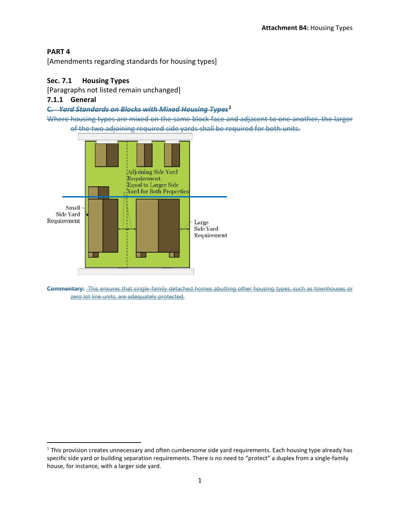# **PART 4**

l

[Amendments regarding standards for housing types]

# **Sec. 7.1 Housing Types**

[Paragraphs not listed remain unchanged]

# **7.1.1 General**

#### **C.** *Yard Standards on Blocks with Mixed Housing Types[1](#page-0-0)*

Where housing types are mixed on the same block face and adjacent to one another, the larger of the two adjoining required side yards shall be required for both units.



**Commentary:** This ensures that single-family detached homes abutting other housing types, such as townhouses or zero lot line units, are adequately protected.

<span id="page-0-0"></span> $<sup>1</sup>$  This provision creates unnecessary and often cumbersome side yard requirements. Each housing type already has</sup> specific side yard or building separation requirements. There is no need to "protect" a duplex from a single-family house, for instance, with a larger side yard.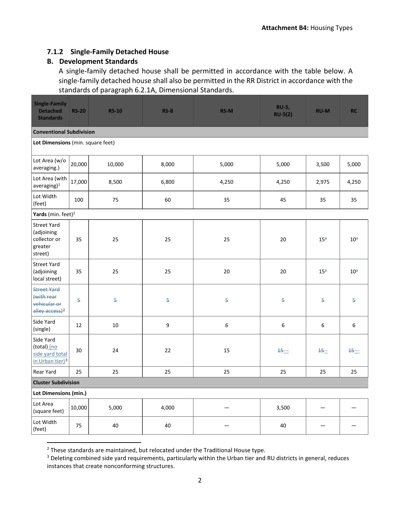# **7.1.2 Single-Family Detached House**

# **B. Development Standards**

A single-family detached house shall be permitted in accordance with the table below. A single-family detached house shall also be permitted in the RR District in accordance with the standards of paragraph 6.2.1A, Dimensional Standards.

| <b>Single-Family</b><br><b>Detached</b><br><b>Standards</b>                    | <b>RS-20</b> | <b>RS-10</b> | $RS-8$           | <b>RS-M</b>      | <b>RU-5,</b><br>$RU-5(2)$ | <b>RU-M</b>     | <b>RC</b>       |
|--------------------------------------------------------------------------------|--------------|--------------|------------------|------------------|---------------------------|-----------------|-----------------|
| <b>Conventional Subdivision</b>                                                |              |              |                  |                  |                           |                 |                 |
| Lot Dimensions (min. square feet)                                              |              |              |                  |                  |                           |                 |                 |
| Lot Area (w/o<br>averaging.)                                                   | 20,000       | 10,000       | 8,000            | 5,000            | 5,000                     | 3,500           | 5,000           |
| Lot Area (with<br>average(1)                                                   | 17,000       | 8,500        | 6,800            | 4,250            | 4,250                     | 2,975           | 4,250           |
| Lot Width<br>(feet)                                                            | 100          | 75           | 60               | 35               | 45                        | 35              | 35              |
| Yards (min. feet) <sup>2</sup>                                                 |              |              |                  |                  |                           |                 |                 |
| <b>Street Yard</b><br>(adjoining<br>collector or<br>greater<br>street)         | 35           | 25           | 25               | 25               | 20                        | 15 <sup>3</sup> | 10 <sup>3</sup> |
| <b>Street Yard</b><br>(adjoining<br>local street)                              | 35           | 25           | 25               | 20               | 20                        | 15 <sup>3</sup> | $10^3$          |
| <b>Street Yard</b><br>(with rear<br>vehicular or<br>alley access) <sup>2</sup> | 5            | 5            | $\overline{5}$   | $\overline{5}$   | 5                         | 5               | 5               |
| Side Yard<br>(single)                                                          | 12           | 10           | $\boldsymbol{9}$ | $\boldsymbol{6}$ | $\boldsymbol{6}$          | 6               | 6               |
| Side Yard<br>(total) (no<br>side yard total<br>in Urban tier) <sup>3</sup>     | 30           | 24           | 22               | 15               | $45 -$                    | $15 -$          | $15 -$          |
| Rear Yard                                                                      | 25           | 25           | 25               | 25               | 25                        | 25              | 25              |
| <b>Cluster Subdivision</b>                                                     |              |              |                  |                  |                           |                 |                 |
| Lot Dimensions (min.)                                                          |              |              |                  |                  |                           |                 |                 |
| Lot Area<br>(square feet)                                                      | 10,000       | 5,000        | 4,000            |                  | 3,500                     |                 |                 |
| Lot Width<br>(feet)                                                            | 75           | 40           | 40               |                  | 40                        |                 |                 |

<span id="page-1-0"></span><sup>&</sup>lt;sup>2</sup> These standards are maintained, but relocated under the Traditional House type.

<span id="page-1-1"></span><sup>&</sup>lt;sup>3</sup> Deleting combined side yard requirements, particularly within the Urban tier and RU districts in general, reduces instances that create nonconforming structures.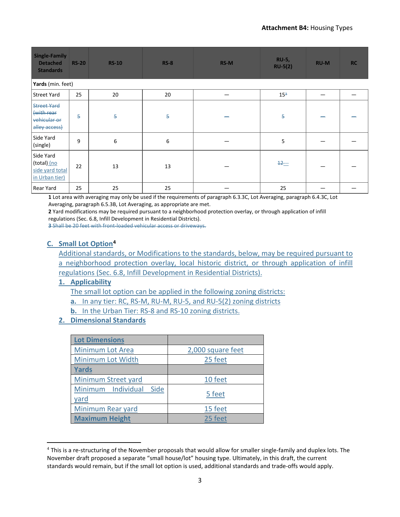| <b>Single-Family</b><br><b>Detached</b><br><b>Standards</b>       | <b>RS-20</b>   | <b>RS-10</b>   | <b>RS-8</b> | <b>RS-M</b> | <b>RU-5,</b><br>$RU-5(2)$ | <b>RU-M</b> | <b>RC</b> |
|-------------------------------------------------------------------|----------------|----------------|-------------|-------------|---------------------------|-------------|-----------|
| Yards (min. feet)                                                 |                |                |             |             |                           |             |           |
| <b>Street Yard</b>                                                | 25             | 20             | 20          |             | 15 <sup>3</sup>           |             |           |
| <b>Street Yard</b><br>(with rear<br>vehicular or<br>alley access) | $\overline{5}$ | $\overline{5}$ | 5           |             | 5                         |             |           |
| Side Yard<br>(single)                                             | 9              | 6              | 6           |             | 5                         |             |           |
| Side Yard<br>(total) (no<br>side yard total<br>in Urban tier)     | 22             | 13             | 13          |             | $\frac{12}{12}$           |             |           |
| <b>Rear Yard</b>                                                  | 25             | 25             | 25          |             | 25                        |             |           |

**1** Lot area with averaging may only be used if the requirements of paragrap[h 6.3.3C,](https://durham.municipal.codes/UDO/6.3.3C) Lot Averaging, paragraph [6.4.3C,](https://durham.municipal.codes/UDO/6.4.3C) Lot Averaging, paragrap[h 6.5.3B,](https://durham.municipal.codes/UDO/6.5.3B) Lot Averaging, as appropriate are met.

**2** Yard modifications may be required pursuant to a neighborhood protection overlay, or through application of infill regulations (Sec[. 6.8,](https://durham.municipal.codes/UDO/6.8) Infill Development in Residential Districts).

**3** Shall be 20 feet with front-loaded vehicular access or driveways.

# **C. Small Lot Optio[n4](#page-2-0)**

Additional standards, or Modifications to the standards, below, may be required pursuant to a neighborhood protection overlay, local historic district, or through application of infill regulations (Sec. 6.8, Infill Development in Residential Districts).

# **1. Applicability**

l

The small lot option can be applied in the following zoning districts:

**a.** In any tier: RC, RS-M, RU-M, RU-5, and RU-5(2) zoning districts

**b.** In the Urban Tier: RS-8 and RS-10 zoning districts.

# **2. Dimensional Standards**

| <b>Lot Dimensions</b>              |                   |
|------------------------------------|-------------------|
| Minimum Lot Area                   | 2,000 square feet |
| Minimum Lot Width                  | 25 feet           |
| <b>Yards</b>                       |                   |
| Minimum Street yard                | 10 feet           |
| Minimum Individual<br>Side<br>yard | 5 feet            |
| Minimum Rear yard                  | 15 feet           |
| <b>Maximum Height</b>              | 25 feet           |

<span id="page-2-0"></span><sup>4</sup> This is a re-structuring of the November proposals that would allow for smaller single-family and duplex lots. The November draft proposed a separate "small house/lot" housing type. Ultimately, in this draft, the current standards would remain, but if the small lot option is used, additional standards and trade-offs would apply.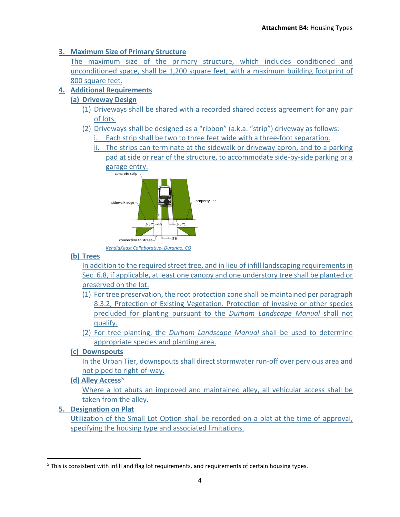# **3. Maximum Size of Primary Structure**

The maximum size of the primary structure, which includes conditioned and unconditioned space, shall be 1,200 square feet, with a maximum building footprint of 800 square feet.

# **4. Additional Requirements**

# **(a) Driveway Design**

- (1) Driveways shall be shared with a recorded shared access agreement for any pair of lots.
- (2) Driveways shall be designed as a "ribbon" (a.k.a. "strip") driveway as follows:
	- i. Each strip shall be two to three feet wide with a three-foot separation.
	- ii. The strips can terminate at the sidewalk or driveway apron, and to a parking pad at side or rear of the structure, to accommodate side-by-side parking or a garage entry.



*KendigKeast Collaborative- Durango, CO*

# **(b) Trees**

In addition to the required street tree, and in lieu of infill landscaping requirements in Sec. 6.8, if applicable, at least one canopy and one understory tree shall be planted or preserved on the lot.

- (1) For tree preservation, the root protection zone shall be maintained per paragraph 8.3.2, Protection of Existing Vegetation. Protection of invasive or other species precluded for planting pursuant to the *Durham Landscape Manual* shall not qualify.
- (2) For tree planting, the *Durham Landscape Manual* shall be used to determine appropriate species and planting area.

# **(c) Downspouts**

In the Urban Tier, downspouts shall direct stormwater run-off over pervious area and not piped to right-of-way.

# **(d) Alley Access**[5](#page-3-0)

Where a lot abuts an improved and maintained alley, all vehicular access shall be taken from the alley.

# **5. Designation on Plat**

Utilization of the Small Lot Option shall be recorded on a plat at the time of approval, specifying the housing type and associated limitations.

<span id="page-3-0"></span>l  $<sup>5</sup>$  This is consistent with infill and flag lot requirements, and requirements of certain housing types.</sup>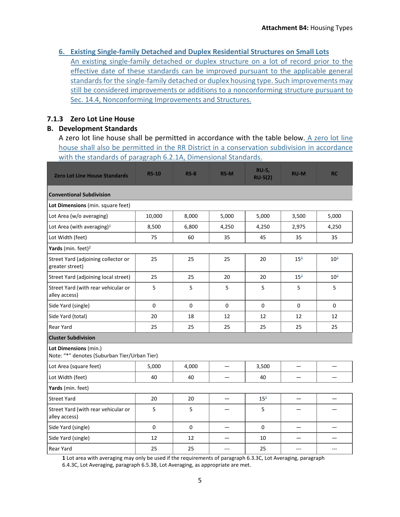**6. Existing Single-family Detached and Duplex Residential Structures on Small Lots**

An existing single-family detached or duplex structure on a lot of record prior to the effective date of these standards can be improved pursuant to the applicable general standards for the single-family detached or duplex housing type. Such improvements may still be considered improvements or additions to a nonconforming structure pursuant to Sec. 14.4, Nonconforming Improvements and Structures.

# **7.1.3 Zero Lot Line House**

# **B. Development Standards**

A zero lot line house shall be permitted in accordance with the table below. A zero lot line house shall also be permitted in the RR District in a conservation subdivision in accordance with the standards of paragraph 6.2.1A, Dimensional Standards.

| <b>Zero Lot Line House Standards</b>                                  | <b>RS-10</b> | $RS-8$      | <b>RS-M</b>     | <b>RU-5,</b><br><b>RU-5(2)</b> | <b>RU-M</b>     | <b>RC</b>       |  |  |
|-----------------------------------------------------------------------|--------------|-------------|-----------------|--------------------------------|-----------------|-----------------|--|--|
| <b>Conventional Subdivision</b>                                       |              |             |                 |                                |                 |                 |  |  |
| Lot Dimensions (min. square feet)                                     |              |             |                 |                                |                 |                 |  |  |
| Lot Area (w/o averaging)                                              | 10,000       | 8,000       | 5,000           | 5,000                          | 3,500           | 5,000           |  |  |
| Lot Area (with averaging) $1$                                         | 8,500        | 6,800       | 4,250           | 4,250                          | 2,975           | 4,250           |  |  |
| Lot Width (feet)                                                      | 75           | 60          | 35              | 45                             | 35              | 35              |  |  |
| Yards (min. feet) <sup>2</sup>                                        |              |             |                 |                                |                 |                 |  |  |
| Street Yard (adjoining collector or<br>greater street)                | 25           | 25          | 25              | 20                             | 15 <sup>3</sup> | 10 <sup>3</sup> |  |  |
| Street Yard (adjoining local street)                                  | 25           | 25          | 20              | 20                             | 15 <sup>3</sup> | $10^{3}$        |  |  |
| Street Yard (with rear vehicular or<br>alley access)                  | 5            | 5           | 5               | 5                              | 5               | 5               |  |  |
| Side Yard (single)                                                    | $\mathbf 0$  | $\mathbf 0$ | $\mathbf 0$     | $\mathbf{0}$                   | 0               | $\mathbf{0}$    |  |  |
| Side Yard (total)                                                     | 20           | 18          | 12              | 12                             | 12              | 12              |  |  |
| Rear Yard                                                             | 25           | 25          | 25              | 25                             | 25              | 25              |  |  |
| <b>Cluster Subdivision</b>                                            |              |             |                 |                                |                 |                 |  |  |
| Lot Dimensions (min.)<br>Note: "*" denotes (Suburban Tier/Urban Tier) |              |             |                 |                                |                 |                 |  |  |
| Lot Area (square feet)                                                | 5,000        | 4,000       | $\qquad \qquad$ | 3,500                          | —               |                 |  |  |
| Lot Width (feet)                                                      | 40           | 40          |                 | 40                             |                 |                 |  |  |
| Yards (min. feet)                                                     |              |             |                 |                                |                 |                 |  |  |
| <b>Street Yard</b>                                                    | 20           | 20          |                 | 15 <sup>3</sup>                |                 |                 |  |  |
| Street Yard (with rear vehicular or<br>alley access)                  | 5            | 5           |                 | 5                              |                 |                 |  |  |
| Side Yard (single)                                                    | $\mathbf 0$  | $\mathbf 0$ |                 | $\mathbf 0$                    |                 |                 |  |  |
| Side Yard (single)                                                    | 12           | 12          |                 | 10                             |                 |                 |  |  |
| Rear Yard                                                             | 25           | 25          | $---$           | 25                             | ---             | ---             |  |  |

**1** Lot area with averaging may only be used if the requirements of paragrap[h 6.3.3C,](https://durham.municipal.codes/UDO/6.3.3C) Lot Averaging, paragraph [6.4.3C,](https://durham.municipal.codes/UDO/6.4.3C) Lot Averaging, paragrap[h 6.5.3B,](https://durham.municipal.codes/UDO/6.5.3B) Lot Averaging, as appropriate are met.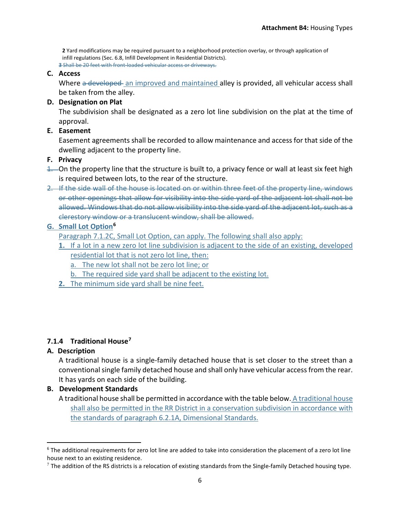**2** Yard modifications may be required pursuant to a neighborhood protection overlay, or through application of infill regulations (Sec[. 6.8,](https://durham.municipal.codes/UDO/6.8) Infill Development in Residential Districts).

**3** Shall be 20 feet with front-loaded vehicular access or driveways.

# **C. Access**

Where a developed an improved and maintained alley is provided, all vehicular access shall be taken from the alley.

# **D. Designation on Plat**

The subdivision shall be designated as a zero lot line subdivision on the plat at the time of approval.

### **E. Easement**

Easement agreements shall be recorded to allow maintenance and access for that side of the dwelling adjacent to the property line.

### **F. Privacy**

- 1. On the property line that the structure is built to, a privacy fence or wall at least six feet high is required between lots, to the rear of the structure.
- 2. If the side wall of the house is located on or within three feet of the property line, windows or other openings that allow for visibility into the side yard of the adjacent lot shall not be allowed. Windows that do not allow visibility into the side yard of the adjacent lot, such as a clerestory window or a translucent window, shall be allowed.

# **G. Small Lot Optio[n6](#page-5-0)**

Paragraph 7.1.2C, Small Lot Option, can apply. The following shall also apply:

- **1.** If a lot in a new zero lot line subdivision is adjacent to the side of an existing, developed residential lot that is not zero lot line, then:
	- a. The new lot shall not be zero lot line; or
	- b. The required side yard shall be adjacent to the existing lot.
- **2.** The minimum side yard shall be nine feet.

# **7.1.4 Traditional House[7](#page-5-1)**

# **A. Description**

A traditional house is a single-family detached house that is set closer to the street than a conventional single family detached house and shall only have vehicular access from the rear. It has yards on each side of the building.

# **B. Development Standards**

A traditional house shall be permitted in accordance with the table below. A traditional house shall also be permitted in the RR District in a conservation subdivision in accordance with the standards of paragraph 6.2.1A, Dimensional Standards.

<span id="page-5-0"></span> $6$  The additional requirements for zero lot line are added to take into consideration the placement of a zero lot line house next to an existing residence.

<span id="page-5-1"></span> $7$  The addition of the RS districts is a relocation of existing standards from the Single-family Detached housing type.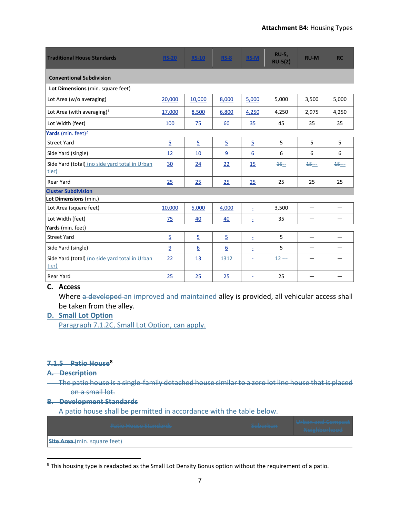| <b>Traditional House Standards</b>                      | <b>RS-20</b>   | <b>RS-10</b>   | <b>RS-8</b>      | <b>RS-M</b>      | <b>RU-5,</b><br>$RU-5(2)$ | <b>RU-M</b> | <b>RC</b> |  |
|---------------------------------------------------------|----------------|----------------|------------------|------------------|---------------------------|-------------|-----------|--|
| <b>Conventional Subdivision</b>                         |                |                |                  |                  |                           |             |           |  |
| Lot Dimensions (min. square feet)                       |                |                |                  |                  |                           |             |           |  |
| Lot Area (w/o averaging)                                | 20,000         | 10,000         | 8,000            | 5,000            | 5,000                     | 3,500       | 5,000     |  |
| Lot Area (with averaging) $1$                           | 17,000         | 8,500          | 6,800            | 4,250            | 4,250                     | 2,975       | 4,250     |  |
| Lot Width (feet)                                        | 100            | 75             | 60               | 35               | 45                        | 35          | 35        |  |
| Yards (min. feet) <sup>2</sup>                          |                |                |                  |                  |                           |             |           |  |
| <b>Street Yard</b>                                      | $\overline{5}$ | $\overline{5}$ | $\overline{5}$   | $\overline{5}$   | 5                         | 5           | 5         |  |
| Side Yard (single)                                      | 12             | 10             | 9                | $6 \overline{6}$ | 6                         | 6           | 6         |  |
| Side Yard (total) (no side yard total in Urban<br>tier) | 30             | 24             | 22               | <u>15</u>        | $15 -$                    | $15 - -$    | $45 -$    |  |
| <b>Rear Yard</b>                                        | 25             | 25             | 25               | 25               | 25                        | 25          | 25        |  |
| <b>Cluster Subdivision</b>                              |                |                |                  |                  |                           |             |           |  |
| Lot Dimensions (min.)                                   |                |                |                  |                  |                           |             |           |  |
| Lot Area (square feet)                                  | 10,000         | 5,000          | 4,000            | È,               | 3,500                     |             |           |  |
| Lot Width (feet)                                        | 75             | 40             | 40               | Ė,               | 35                        |             |           |  |
| Yards (min. feet)                                       |                |                |                  |                  |                           |             |           |  |
| <b>Street Yard</b>                                      | $\overline{5}$ | $\overline{5}$ | $\overline{5}$   | Ė,               | 5                         |             |           |  |
| Side Yard (single)                                      | 9              | <u>6</u>       | $6 \overline{6}$ | ż                | 5                         |             |           |  |
| Side Yard (total) (no side yard total in Urban<br>tier) | 22             | <u>13</u>      | 1312             | ż                | $12 -$                    |             |           |  |
| <b>Rear Yard</b>                                        | 25             | 25             | 25               | Ξ                | 25                        |             |           |  |

#### **C. Access**

Where a developed an improved and maintained alley is provided, all vehicular access shall be taken from the alley.

### **D. Small Lot Option**

Paragraph 7.1.2C, Small Lot Option, can apply.

#### **7.1.5 Patio Hous[e8](#page-6-0)**

#### **A. Description**

l

The patio house is a single-family detached house similar to a zero lot line house that is placed on a small lot.

#### **B. Development Standards**

A patio house shall be permitted in accordance with the table below.

| Datin House Standards               | Suhurhan<br><b>CARD AND RECASSING</b> | <b>Ilchan and Compact</b><br><b>A THE PARTIE IS NOT A THE TAXABLE PARTIES.</b><br><b>Naighborhood</b><br><b>THE APPLICATION CAPABLE AT A TABLE</b> |  |  |  |  |
|-------------------------------------|---------------------------------------|----------------------------------------------------------------------------------------------------------------------------------------------------|--|--|--|--|
| <b>Site Area</b> (min. square feet) |                                       |                                                                                                                                                    |  |  |  |  |

<span id="page-6-0"></span><sup>&</sup>lt;sup>8</sup> This housing type is readapted as the Small Lot Density Bonus option without the requirement of a patio.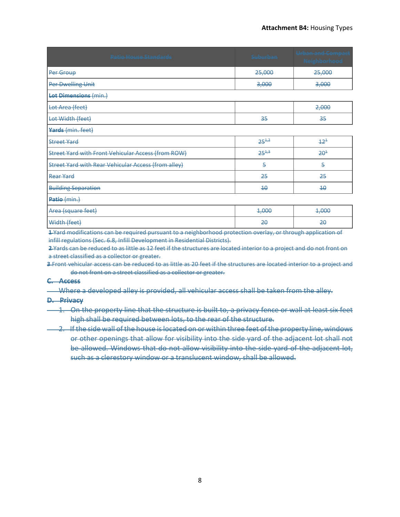| <b>Patio House Standards</b>                               | <b>Suburban</b> | <b>Urban and Compact</b><br><b>Neighborhood</b> |
|------------------------------------------------------------|-----------------|-------------------------------------------------|
| Per Group                                                  | 25,000          | 25,000                                          |
| <b>Per Dwelling Unit</b>                                   | 3,000           | 3,000                                           |
| <b>Lot Dimensions (min.)</b>                               |                 |                                                 |
| Lot Area (feet)                                            |                 | 2,000                                           |
| Lot Width (feet)                                           | 35              | 35                                              |
| Yards (min. feet)                                          |                 |                                                 |
| <b>Street Yard</b>                                         | $25^{4,2}$      | $+2^{4}$                                        |
| <b>Street Yard with Front Vehicular Access (from ROW)</b>  | $25^{4,3}$      | $2\theta^4$                                     |
| <b>Street Yard with Rear Vehicular Access (from alley)</b> | 5               | 5                                               |
| Rear Yard                                                  | 25              | 25                                              |
| <b>Building Separation</b>                                 | $4\theta$       | $4\theta$                                       |
| Patio (min.)                                               |                 |                                                 |
| Area (square feet)                                         | 4,000           | 4,000                                           |
| Width (feet)                                               | 20              | 20                                              |

**1** Yard modifications can be required pursuant to a neighborhood protection overlay, or through application of infill regulations (Sec. 6.8, Infill Development in Residential Districts).

**2** Yards can be reduced to as little as 12 feet if the structures are located interior to a project and do not front on a street classified as a collector or greater.

**3** Front vehicular access can be reduced to as little as 20 feet if the structures are located interior to a project and do not front on a street classified as a collector or greater.

#### **C. Access**

Where a developed alley is provided, all vehicular access shall be taken from the alley.

#### **D. Privacy**

- 1. On the property line that the structure is built to, a privacy fence or wall at least six feet high shall be required between lots, to the rear of the structure.
- 2. If the side wall of the house is located on or within three feet of the property line, windows or other openings that allow for visibility into the side yard of the adjacent lot shall not be allowed. Windows that do not allow visibility into the side vard of the adiacent lot. such as a clerestory window or a translucent window, shall be allowed.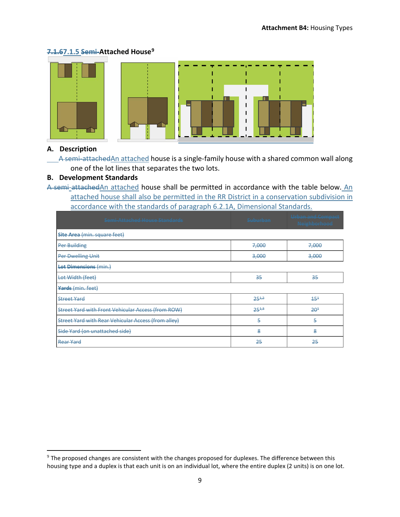# **7.1.67.1.5 Semi-Attached House[9](#page-8-0)**



# **A. Description**

 $\overline{\phantom{a}}$ 

A semi-attachedAn attached house is a single-family house with a shared common wall along one of the lot lines that separates the two lots.

# **B. Development Standards**

A semi-attachedAn attached house shall be permitted in accordance with the table below. An attached house shall also be permitted in the RR District in a conservation subdivision in accordance with the standards of paragraph 6.2.1A, Dimensional Standards.

| Cami Attachad Hauca Standards<br><u> Dennis Autoritiets Roose Dunitiers – </u> | المطعنيطيني<br><b>CASTASTERASTIC</b> | <b>Ilrhan and Compact</b><br><del>onben ente compete</del><br><b>Naighborhood</b><br><b>La Acto Presidente de Academ</b> |  |  |  |  |
|--------------------------------------------------------------------------------|--------------------------------------|--------------------------------------------------------------------------------------------------------------------------|--|--|--|--|
| <b>Site Area</b> (min. square feet)                                            |                                      |                                                                                                                          |  |  |  |  |
| <b>Per Building</b>                                                            | 7,000                                | 7,000                                                                                                                    |  |  |  |  |
| Per Dwelling Unit                                                              | 3,000                                | 3,000                                                                                                                    |  |  |  |  |
| <b>Lot Dimensions (min.)</b>                                                   |                                      |                                                                                                                          |  |  |  |  |
| Lot Width (feet)                                                               | 35                                   | 35                                                                                                                       |  |  |  |  |
| Yards (min. feet)                                                              |                                      |                                                                                                                          |  |  |  |  |
| <b>Street Yard</b>                                                             | $25^{4,2}$                           | $45^{4}$                                                                                                                 |  |  |  |  |
| <b>Street Yard with Front Vehicular Access (from ROW)</b>                      | $25^{4,3}$                           | $20^{1}$                                                                                                                 |  |  |  |  |
| Street Yard with Rear Vehicular Access (from alley)                            | 5                                    | 5                                                                                                                        |  |  |  |  |
| Side Yard (on unattached side)                                                 | 8                                    | 8                                                                                                                        |  |  |  |  |
| <b>Rear Yard</b>                                                               | 25                                   | 25                                                                                                                       |  |  |  |  |

<span id="page-8-0"></span><sup>&</sup>lt;sup>9</sup> The proposed changes are consistent with the changes proposed for duplexes. The difference between this housing type and a duplex is that each unit is on an individual lot, where the entire duplex (2 units) is on one lot.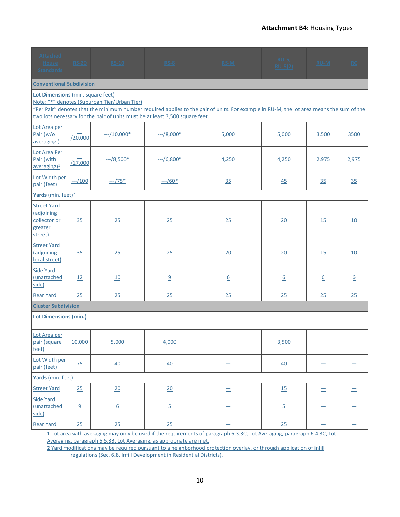#### **Attachment B4:** Housing Types

| <b>Attached</b><br>House<br><b>Standards</b>                           | <b>RS-20</b>                                                                                                                                                                                                                                                                                                  | <b>RS-10</b>     | $RS-8$         | RS-M                                                                                                                               | $RU-5,$<br>$RU-5(2)$ | RU-M             | RC               |  |
|------------------------------------------------------------------------|---------------------------------------------------------------------------------------------------------------------------------------------------------------------------------------------------------------------------------------------------------------------------------------------------------------|------------------|----------------|------------------------------------------------------------------------------------------------------------------------------------|----------------------|------------------|------------------|--|
| <b>Conventional Subdivision</b>                                        |                                                                                                                                                                                                                                                                                                               |                  |                |                                                                                                                                    |                      |                  |                  |  |
|                                                                        | Lot Dimensions (min. square feet)<br>Note: "*" denotes (Suburban Tier/Urban Tier)<br>"Per Pair" denotes that the minimum number required applies to the pair of units. For example in RU-M, the lot area means the sum of the<br>two lots necessary for the pair of units must be at least 3,500 square feet. |                  |                |                                                                                                                                    |                      |                  |                  |  |
| Lot Area per<br>Pair (w/o<br>averaging.)                               | $\equiv$<br>/20,000                                                                                                                                                                                                                                                                                           | $--/10,000*$     | $-/-/8,000*$   | 5,000                                                                                                                              | 5,000                | 3,500            | 3500             |  |
| Lot Area Per<br>Pair (with<br>average(1)                               | /17,000                                                                                                                                                                                                                                                                                                       | $-2/8,500*$      | $-/-/6,800*$   | 4,250                                                                                                                              | 4,250                | 2,975            | 2,975            |  |
| Lot Width per<br>pair (feet)                                           | $-100$                                                                                                                                                                                                                                                                                                        | $-175*$          | $-/-/60*$      | 35                                                                                                                                 | 45                   | 35               | 35               |  |
| Yards (min. feet) <sup>2</sup>                                         |                                                                                                                                                                                                                                                                                                               |                  |                |                                                                                                                                    |                      |                  |                  |  |
| <b>Street Yard</b><br>(adjoining<br>collector or<br>greater<br>street) | 35                                                                                                                                                                                                                                                                                                            | 25               | 25             | 25                                                                                                                                 | 20                   | 15               | 10               |  |
| <b>Street Yard</b><br>(adjoining<br>local street)                      | 35                                                                                                                                                                                                                                                                                                            | 25               | 25             | 20                                                                                                                                 | 20                   | 15               | 10               |  |
| <b>Side Yard</b><br>(unattached<br>side)                               | 12                                                                                                                                                                                                                                                                                                            | 10               | 9              | $6 \overline{6}$                                                                                                                   | $\underline{6}$      | $6 \overline{6}$ | $6 \overline{6}$ |  |
| <b>Rear Yard</b>                                                       | 25                                                                                                                                                                                                                                                                                                            | 25               | 25             | 25                                                                                                                                 | 25                   | 25               | 25               |  |
| <b>Cluster Subdivision</b>                                             |                                                                                                                                                                                                                                                                                                               |                  |                |                                                                                                                                    |                      |                  |                  |  |
| <b>Lot Dimensions (min.)</b>                                           |                                                                                                                                                                                                                                                                                                               |                  |                |                                                                                                                                    |                      |                  |                  |  |
| Lot Area per<br>pair (square<br>feet)                                  | 10,000                                                                                                                                                                                                                                                                                                        | 5,000            | 4,000          | $=$                                                                                                                                | 3,500                | $=$              | ᆖ                |  |
| Lot Width per<br>pair (feet)                                           | 75                                                                                                                                                                                                                                                                                                            | 40               | 40             | Ξ                                                                                                                                  | 40                   | ᆖ                | ᆖ                |  |
| Yards (min. feet)                                                      |                                                                                                                                                                                                                                                                                                               |                  |                |                                                                                                                                    |                      |                  |                  |  |
| <b>Street Yard</b>                                                     | 25                                                                                                                                                                                                                                                                                                            | 20               | 20             | $\equiv$                                                                                                                           | <u>15</u>            | $\equiv$         | $\equiv$         |  |
| <b>Side Yard</b><br>(unattached<br>side)                               | $\overline{a}$                                                                                                                                                                                                                                                                                                | $6 \overline{6}$ | $\overline{5}$ | Ξ                                                                                                                                  | $\overline{5}$       |                  |                  |  |
| <b>Rear Yard</b>                                                       | 25                                                                                                                                                                                                                                                                                                            | 25               | 25             | $\equiv$<br>1 lot area with averaging may only be used if the requirements of paragraph 6.2.20 Lot Averaging, paragraph 6.4.20 Lot | 25                   | $\equiv$         | $=$              |  |

**1** Lot area with averaging may only be used if the requirements of paragrap[h 6.3.3C,](https://durham.municipal.codes/UDO/6.3.3C) Lot Averaging, paragrap[h 6.4.3C,](https://durham.municipal.codes/UDO/6.4.3C) Lot Averaging, paragrap[h 6.5.3B,](https://durham.municipal.codes/UDO/6.5.3B) Lot Averaging, as appropriate are met.

**2** Yard modifications may be required pursuant to a neighborhood protection overlay, or through application of infill regulations (Sec[. 6.8,](https://durham.municipal.codes/UDO/6.8) Infill Development in Residential Districts).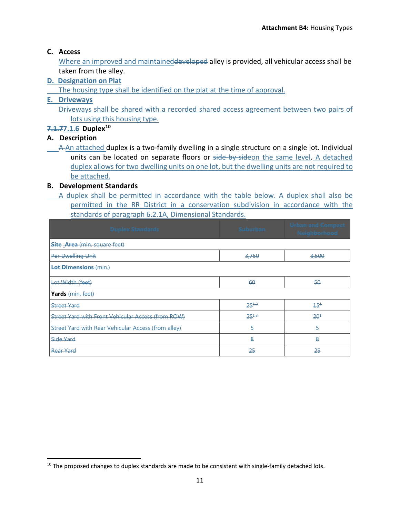# **C. Access**

Where an improved and maintained developed alley is provided, all vehicular access shall be taken from the alley.

# **D. Designation on Plat**

The housing type shall be identified on the plat at the time of approval.

# **E. Driveways**

Driveways shall be shared with a recorded shared access agreement between two pairs of lots using this housing type.

# **7.1.77.1.6 Duple[x10](#page-10-0)**

# **A. Description**

l

A An attached duplex is a two-family dwelling in a single structure on a single lot. Individual units can be located on separate floors or side-by-sideon the same level. A detached duplex allows for two dwelling units on one lot, but the dwelling units are not required to be attached.

# **B. Development Standards**

A duplex shall be permitted in accordance with the table below. A duplex shall also be permitted in the RR District in a conservation subdivision in accordance with the standards of paragraph 6.2.1A, Dimensional Standards.

| <b>Duplex Standards</b>                             | <b>Suburban</b> | <b>Urban and Compact</b><br>Neighborhood |  |  |  |  |  |
|-----------------------------------------------------|-----------------|------------------------------------------|--|--|--|--|--|
| Site Area (min. square feet)                        |                 |                                          |  |  |  |  |  |
| <b>Per Dwelling Unit</b>                            | 3,750           | 3,500                                    |  |  |  |  |  |
| Lot Dimensions (min.)                               |                 |                                          |  |  |  |  |  |
| Lot Width (feet)                                    | 60              | 50                                       |  |  |  |  |  |
| Yards (min. feet)                                   |                 |                                          |  |  |  |  |  |
| <b>Street Yard</b>                                  | $25^{1,2}$      | $15^{1}$                                 |  |  |  |  |  |
| Street Yard with Front Vehicular Access (from ROW)  | $25^{1.3}$      | $20^{1}$                                 |  |  |  |  |  |
| Street Yard with Rear Vehicular Access (from alley) | 5               | 5                                        |  |  |  |  |  |
| Side Yard                                           | $\bf{8}$        | 8                                        |  |  |  |  |  |
| Rear Yard                                           | 25              | 25                                       |  |  |  |  |  |

<span id="page-10-0"></span> $10$  The proposed changes to duplex standards are made to be consistent with single-family detached lots.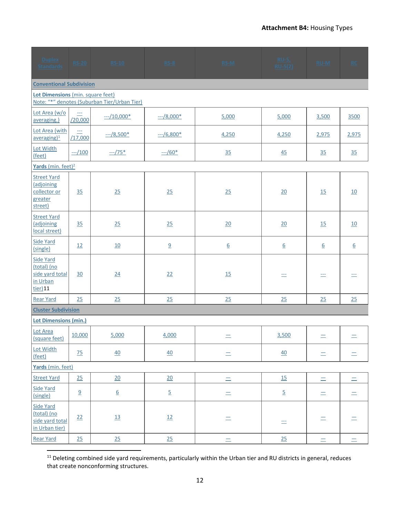| <b>Duplex</b><br><b>Standards</b>                                             | <b>RS-20</b>        | <b>RS-10</b>                                 | $RS-8$         | $RS-M$           | <b>RU-5,</b><br>$RU-5(2)$ | $RU-M$   | RC               |
|-------------------------------------------------------------------------------|---------------------|----------------------------------------------|----------------|------------------|---------------------------|----------|------------------|
| <b>Conventional Subdivision</b>                                               |                     |                                              |                |                  |                           |          |                  |
| Lot Dimensions (min. square feet)                                             |                     | Note: "*" denotes (Suburban Tier/Urban Tier) |                |                  |                           |          |                  |
| Lot Area (w/o<br>averaging.)                                                  | $\equiv$<br>/20,000 | $-10,000*$                                   | $-1/8,000*$    | 5,000            | 5,000                     | 3,500    | 3500             |
| Lot Area (with<br>$average$ <sub>1</sub>                                      | $\equiv$<br>/17,000 | $-2/8,500*$                                  | $-/-/6,800*$   | 4,250            | 4,250                     | 2,975    | 2,975            |
| Lot Width<br>(feet)                                                           | $-100$              | $-1/75*$                                     | $-/-/60*$      | 35               | 45                        | 35       | 35               |
| Yards (min. feet) <sup>2</sup>                                                |                     |                                              |                |                  |                           |          |                  |
| <b>Street Yard</b><br>(adjoining<br>collector or<br>greater<br>street)        | 35                  | 25                                           | 25             | 25               | 20                        | 15       | 10               |
| <b>Street Yard</b><br>(adjoining<br>local street)                             | 35                  | 25                                           | 25             | 20               | 20                        | 15       | 10               |
| Side Yard<br>(single)                                                         | 12                  | 10                                           | 9              | $6 \overline{6}$ | $\underline{6}$           | 6        | $6 \overline{6}$ |
| <b>Side Yard</b><br>(total) (no<br>side yard total<br>in Urban<br>$tier$ ) 11 | 30                  | 24                                           | 22             | 15               | $\equiv$                  | ÷.       | ÷.               |
| <b>Rear Yard</b>                                                              | 25                  | 25                                           | 25             | 25               | 25                        | 25       | 25               |
| <b>Cluster Subdivision</b>                                                    |                     |                                              |                |                  |                           |          |                  |
| <b>Lot Dimensions (min.)</b>                                                  |                     |                                              |                |                  |                           |          |                  |
| Lot Area<br>(square feet)                                                     | 10,000              | 5,000                                        | 4,000          | $=$              | 3,500                     | $=$      | $\equiv$         |
| Lot Width<br>(feet)                                                           | 75                  | 40                                           | 40             | $\equiv$         | 40                        | $=$      | $=$              |
| Yards (min. feet)                                                             |                     |                                              |                |                  |                           |          |                  |
| <b>Street Yard</b>                                                            | 25                  | 20                                           | 20             | $=$              | <u>15</u>                 | $=$      | $=$              |
| <b>Side Yard</b><br>(single)                                                  | 9                   | $\underline{6}$                              | $\overline{5}$ | $\equiv$         | $\overline{5}$            | $=$      | $=$              |
| <b>Side Yard</b><br>(total) (no<br>side yard total<br>in Urban tier)          | 22                  | 13                                           | 12             | $\equiv$         | Ħ                         | Ξ        | $\equiv$         |
| <b>Rear Yard</b>                                                              | 25                  | 25                                           | 25             | $\equiv$         | 25                        | $\equiv$ | $=$              |

<span id="page-11-0"></span><sup>11</sup> Deleting combined side yard requirements, particularly within the Urban tier and RU districts in general, reduces that create nonconforming structures.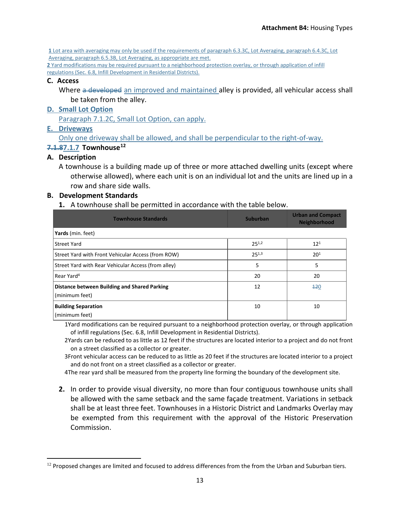**1** Lot area with averaging may only be used if the requirements of paragrap[h 6.3.3C,](https://durham.municipal.codes/UDO/6.3.3C) Lot Averaging, paragrap[h 6.4.3C,](https://durham.municipal.codes/UDO/6.4.3C) Lot Averaging, paragraph [6.5.3B,](https://durham.municipal.codes/UDO/6.5.3B) Lot Averaging, as appropriate are met.

**2** Yard modifications may be required pursuant to a neighborhood protection overlay, or through application of infill regulations (Sec[. 6.8,](https://durham.municipal.codes/UDO/6.8) Infill Development in Residential Districts).

#### **C. Access**

Where a developed an improved and maintained alley is provided, all vehicular access shall be taken from the alley.

# **D. Small Lot Option**

Paragraph 7.1.2C, Small Lot Option, can apply.

# **E. Driveways**

Only one driveway shall be allowed, and shall be perpendicular to the right-of-way.

# **7.1.87.1.7 Townhouse[12](#page-12-0)**

# **A. Description**

l

A townhouse is a building made up of three or more attached dwelling units (except where otherwise allowed), where each unit is on an individual lot and the units are lined up in a row and share side walls.

# **B. Development Standards**

**1.** A townhouse shall be permitted in accordance with the table below.

| <b>Townhouse Standards</b>                                     | <b>Suburban</b> | <b>Urban and Compact</b><br><b>Neighborhood</b> |
|----------------------------------------------------------------|-----------------|-------------------------------------------------|
| Yards (min. feet)                                              |                 |                                                 |
| <b>Street Yard</b>                                             | $25^{1,2}$      | $12^{1}$                                        |
| Street Yard with Front Vehicular Access (from ROW)             | $25^{1,3}$      | 20 <sup>1</sup>                                 |
| Street Yard with Rear Vehicular Access (from alley)            | 5               | 5                                               |
| Rear Yard <sup>4</sup>                                         | 20              | 20                                              |
| Distance between Building and Shared Parking<br>(minimum feet) | 12              | 120                                             |
| <b>Building Separation</b><br>(minimum feet)                   | 10              | 10                                              |

1Yard modifications can be required pursuant to a neighborhood protection overlay, or through application of infill regulations (Sec. 6.8, Infill Development in Residential Districts).

2Yards can be reduced to as little as 12 feet if the structures are located interior to a project and do not front on a street classified as a collector or greater.

3Front vehicular access can be reduced to as little as 20 feet if the structures are located interior to a project and do not front on a street classified as a collector or greater.

4The rear yard shall be measured from the property line forming the boundary of the development site.

**2.** In order to provide visual diversity, no more than four contiguous townhouse units shall be allowed with the same setback and the same façade treatment. Variations in setback shall be at least three feet. Townhouses in a Historic District and Landmarks Overlay may be exempted from this requirement with the approval of the Historic Preservation Commission.

<span id="page-12-0"></span> $12$  Proposed changes are limited and focused to address differences from the from the Urban and Suburban tiers.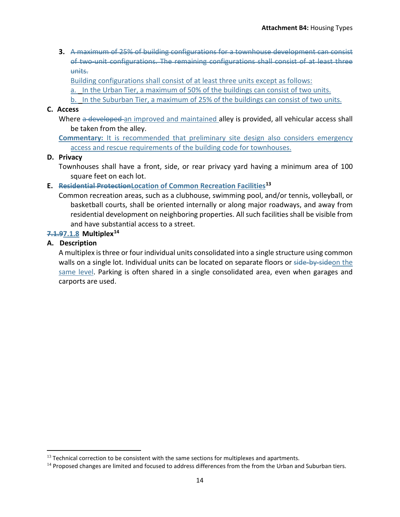**3.** A maximum of 25% of building configurations for a townhouse development can consist of two-unit configurations. The remaining configurations shall consist of at least three units.

Building configurations shall consist of at least three units except as follows:

a. In the Urban Tier, a maximum of 50% of the buildings can consist of two units.

b. In the Suburban Tier, a maximum of 25% of the buildings can consist of two units.

### **C. Access**

Where a developed an improved and maintained alley is provided, all vehicular access shall be taken from the alley.

**Commentary:** It is recommended that preliminary site design also considers emergency access and rescue requirements of the building code for townhouses.

### **D. Privacy**

Townhouses shall have a front, side, or rear privacy yard having a minimum area of 100 square feet on each lot.

### **E. Residential ProtectionLocation of Common Recreation Facilities[13](#page-13-0)**

Common recreation areas, such as a clubhouse, swimming pool, and/or tennis, volleyball, or basketball courts, shall be oriented internally or along major roadways, and away from residential development on neighboring properties. All such facilities shall be visible from and have substantial access to a street.

### **7.1.97.1.8 Multiplex[14](#page-13-1)**

# **A. Description**

 $\overline{\phantom{a}}$ 

A multiplex is three or four individual units consolidated into a single structure using common walls on a single lot. Individual units can be located on separate floors or side-by-sideon the same level. Parking is often shared in a single consolidated area, even when garages and carports are used.

<span id="page-13-0"></span> $<sup>13</sup>$  Technical correction to be consistent with the same sections for multiplexes and apartments.</sup>

<span id="page-13-1"></span> $14$  Proposed changes are limited and focused to address differences from the from the Urban and Suburban tiers.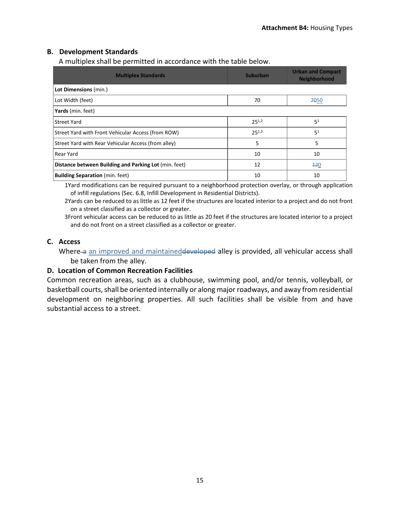# **B. Development Standards**

A multiplex shall be permitted in accordance with the table below.

| <b>Multiplex Standards</b>                            | <b>Suburban</b> | <b>Urban and Compact</b><br><b>Neighborhood</b> |
|-------------------------------------------------------|-----------------|-------------------------------------------------|
| Lot Dimensions (min.)                                 |                 |                                                 |
| Lot Width (feet)                                      | 70              | 7050                                            |
| Yards (min. feet)                                     |                 |                                                 |
| <b>Street Yard</b>                                    | $25^{1,2}$      | 5 <sup>1</sup>                                  |
| Street Yard with Front Vehicular Access (from ROW)    | $25^{1,3}$      | 51                                              |
| Street Yard with Rear Vehicular Access (from alley)   | 5               | 5                                               |
| Rear Yard                                             | 10              | 10                                              |
| Distance between Building and Parking Lot (min. feet) | 12              | 120                                             |
| <b>Building Separation</b> (min. feet)                | 10              | 10                                              |

1Yard modifications can be required pursuant to a neighborhood protection overlay, or through application of infill regulations (Sec. 6.8, Infill Development in Residential Districts).

2Yards can be reduced to as little as 12 feet if the structures are located interior to a project and do not front on a street classified as a collector or greater.

3Front vehicular access can be reduced to as little as 20 feet if the structures are located interior to a project and do not front on a street classified as a collector or greater.

# **C. Access**

Where-a an improved and maintained developed alley is provided, all vehicular access shall be taken from the alley.

# **D. Location of Common Recreation Facilities**

Common recreation areas, such as a clubhouse, swimming pool, and/or tennis, volleyball, or basketball courts, shall be oriented internally or along major roadways, and away from residential development on neighboring properties. All such facilities shall be visible from and have substantial access to a street.